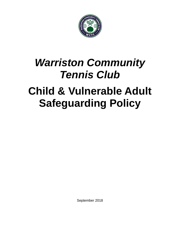

# *Warriston Community Tennis Club* **Child & Vulnerable Adult Safeguarding Policy**

September 2018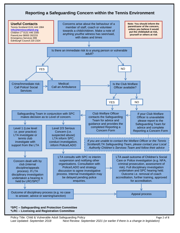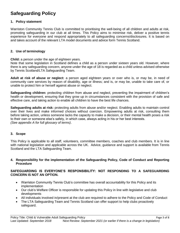# **Safeguarding Policy**

## **1. Policy statement**

Warriston Community Tennis Club is committed to prioritising the well-being of all children and adults at risk, promoting safeguarding in our club at all times. This Policy aims to minimise risk, deliver a positive tennis experience for everyone and respond appropriately to all safeguarding concerns/disclosures. It is based on and takes account of the relevant LTA model documents and advice form Tennis Scotland.

#### **2. Use of terminology**

**Child:** a person under the age of eighteen years.

Note that some legislation in Scotland defines a child as a person under sixteen years old. However, where there is any safeguarding concern, anyone under the age of 18 is regarded as a child unless advised otherwise by Tennis Scotland/LTA Safeguarding Team.

**Adult at risk of abuse or neglect:** a person aged eighteen years or over who is, or may be, in need of community care services by reason of disability, age or illness; and is, or may be, unable to take care of, or unable to protect him or herself against abuse or neglect.

**Safeguarding children:** protecting children from abuse and neglect, preventing the impairment of children's health or development, ensuring that they grow up in circumstances consistent with the provision of safe and effective care, and taking action to enable all children to have the best life chances.

**Safeguarding adults at risk:** protecting adults from abuse and/or neglect. Enabling adults to maintain control over their lives and make informed choices without coercion. Empowering adults at risk, consulting them before taking action, unless someone lacks the capacity to make a decision, or their mental health poses a risk to their own or someone else's safety, in which case, always acting in his or her best interests. *(See appendix A for full glossary of terms)*.

# **3. Scope**

This Policy is applicable to all staff, volunteers, committee members, coaches and club members. It is in line with national legislation and applicable across the UK. Advice, guidance and support is available from Tennis Scotland and the LTA Safeguarding Team.

**4. Responsibility for the implementation of the Safeguarding Policy, Code of Conduct and Reporting Procedure**

## **SAFEGUARDING IS EVERYONE'S RESPONSIBILITY: NOT RESPONDING TO A SAFEGUARDING CONCERN IS NOT AN OPTION.**

- Warriston Community Tennis Club's committee has overall accountability for this Policy and its implementation
- Our club's Welfare Officer is responsible for updating this Policy in line with legislative and club developments
- All individuals involved in/present at the club are required to adhere to the Policy and Code of Conduct
- The LTA Safeguarding Team and Tennis Scotland can offer support to help clubs proactively safeguard.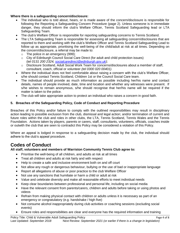# **Where there is a safeguarding concern/disclosure:**

- The individual who is told about, hears, or is made aware of the concern/disclosure is responsible for following the Reporting a Safeguarding Concern Procedure (page 2). Unless someone is in immediate danger, they should inform the club's Welfare Officer, Tennis Scotland Safeguarding lead or LTA Safeguarding Team.
- The club's Welfare Officer is responsible for reporting safeguarding concerns to Tennis Scotland.
- The LTA Safeguarding Team is responsible for assessing all safeguarding concern/disclosures that are reported to them and working with the club's Welfare Officer and Tennis Scotland Safeguarding Lead to follow up as appropriate, prioritising the well-being of the child/adult at risk at all times. Depending on the concern/disclosure, a referral may be made to:
	- o The police in an emergency (999);
	- $\circ$  City of Edinburgh Council Social Care Direct (for adult and child protection issues) (tel *0131 200 2324, [socialcaredirect@edinburgh.gov.uk\)](mailto:socialcaredirect@edinburgh.gov.uk);*
	- o Disclosure Scotland, Adult Social Work Team for concerns/disclosures about a member of staff, consultant, coach, official or volunteer *(tel 0300 020 00401).*
- Where the individual does not feel comfortable about raising a concern with the club's Welfare Officer, s/he should contact Tennis Scotland, Children 1st or the Council Social Care team.
- The individual should provide as much information as possible including her/his name and contact details, names of people involved, date, time and location and whether any witnesses were present. If s/he wishes to remain anonymous, s/he should recognise that her/his name will be required if the matter is taken to the police.
- The club will take appropriate action to protect an individual who raises a concern in good faith.

# **5. Breaches of the Safeguarding Policy, Code of Conduct and Reporting Procedure**

Breaches of this Policy and/or failure to comply with the outlined responsibilities may result in disciplinary action leading to possible exclusion from the club, dismissal and legal action; and/or termination of current and future roles within the club and roles in other clubs, the LTA, Tennis Scotland, Tennis Wales and the Tennis Foundation*.* Actions taken by players, parents or carers, staff, consultants, volunteers, officials, coaches inside or outwith the club that are seen to contradict this Policy may be considered a violation of this Policy.

Where an appeal is lodged in response to a safeguarding decision made by the club, the individual should adhere to the club's appeal procedure.

# **Codes of Conduct**

# **All staff, volunteers and members of Warriston Community Tennis Club agree to:**

- Prioritise the well-being of all children, and adults at risk at all times
- Treat all children and adults at risk fairly and with respect
- Help to create a safe and inclusive environment both on and off court
- Not allow any rough or dangerous behaviour, bullying or the use of bad or inappropriate language
- Report all allegations of abuse or poor practice to the club Welfare Officer
- Not use any sanctions that humiliate or harm a child or adult at risk
- Value and celebrate diversity and make all reasonable efforts to meet individual needs
- Keep clear boundaries between professional and personal life, including on social media
- Have the relevant consent from parents/carers, children and adults before taking or using photos and videos
- Refrain from making physical contact with children or adults unless it is necessary as part of an emergency or congratulatory (e.g. handshake / high five)
- Not consume alcohol inappropriately during club activities or coaching sessions (excluding social events)
- Ensure roles and responsibilities are clear and everyone has the required information and training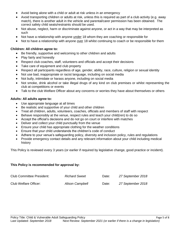- Avoid being alone with a child or adult at risk unless in an emergency
- Avoid transporting children or adults at risk, unless this is required as part of a club activity (e.g. away match), there is another adult in the vehicle and parental/carer permission has been obtained. The correct safety child seats/restraints should be used.
- Not abuse, neglect, harm or discriminate against anyone, or act in a way that may be interpreted as such
- Not have a relationship with anyone under 18 whom they are coaching or responsible for
- Not to have a relationship with anyone over 18 whilst continuing to coach or be responsible for them

### **Children: All children agree to:**

- Be friendly, supportive and welcoming to other children and adults
- Play fairly and honestly
- Respect club coaches, staff, volunteers and officials and accept their decisions
- Take care of equipment and club property
- Respect all participants regardless of age, gender, ability, race, culture, religion or sexual identity
- Not use bad, inappropriate or racist language, including on social media
- Not bully, intimidate or harass anyone, including on social media
- Not smoke, drink alcohol or take illegal drugs of any kind on club premises or whilst representing the club at competitions or events
- Talk to the club Welfare Officer about any concerns or worries they have about themselves or others

## **Adults: All adults agree to:**

- Use appropriate language at all times
- Be realistic and supportive of your child and other children
- Treat all children, adults, volunteers, coaches, officials and members of staff with respect
- Behave responsibly at the venue, respect rules and teach your child(ren) to do so
- Accept the official's decisions and do not go on court or interfere with matches
- Deliver and collect your child punctually from the venue
- Ensure your child has appropriate clothing for the weather conditions
- Ensure that your child understands the children's code of conduct
- Adhere to your venue's safeguarding policy, diversity and inclusion policy, rules and regulations
- Provide emergency contact details and any relevant information about your child including medical history

This Policy is reviewed every 3 years (or earlier if required by legislative change, good practice or incident).

#### **This Policy is recommended for approval by:**

| <b>Club Committee President:</b> | <b>Richard Sweet</b>   | Date: | 27 September 2018 |
|----------------------------------|------------------------|-------|-------------------|
| Club Welfare Officer:            | <b>Alison Campbell</b> | Date: | 27 September 2018 |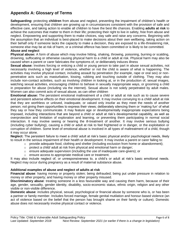# **Appendix A: Glossary of Terms**

**Safeguarding:** protecting **children** from abuse and neglect, preventing the impairment of children's health or development, ensuring that children are growing up in circumstances consistent with the provision of safe and effective care, and taking action to enable all children to have the best life chances. Enabling **adults at risk** to achieve the outcomes that matter to them in their life; protecting their right to live in safety, free from abuse and neglect. Empowering and supporting them to make choices, stay safe and raise any concerns. Beginning with the assumption that an individual is best-placed to make decisions about their own wellbeing, taking action on their behalf only if someone lacks the capacity to make a decision, they are exposed to a life-threatening risk, someone else may be at risk of harm, or a criminal offence has been committed or is likely to be committed.

## **Abuse and neglect**

**Physical abuse:** A form of abuse which may involve hitting, shaking, throwing, poisoning, burning or scalding, drowning, suffocating or otherwise causing physical harm to a child or adult at risk. Physical harm may also be caused when a parent or carer fabricates the symptoms of, or deliberately induces illness

**Sexual abuse:** Involves forcing or enticing a child or young person to take part in abuse sexual activities, not necessarily involving a high level of violence, whether or not the child is aware of what is happening. The activities may involve physical contact, including assault by penetration (for example, rape or oral sex) or nonpenetrative acts such as masturbation, kissing, rubbing and touching outside of clothing. They may also include non-contact activities, such as involving children in looking at, or in the production of, sexual images, watching sexual activities, encouraging children to behave in sexually inappropriate ways, or grooming a child in preparation for abuse (including via the internet). Sexual abuse is not solely perpetrated by adult males. Women can also commit acts of sexual abuse, as can other children

**Emotional abuse:** The persistent emotional maltreatment of a child or adult at risk such as to cause severe and persistent adverse effects on their emotional development. It may involve conveying to a child/ adult at risk that they are worthless or unloved, inadequate, or valued only insofar as they meet the needs of another person; not giving them opportunities to express their views; deliberately silencing them or 'making fun' of what they say or how they communicate. It may feature age or developmentally inappropriate expectations being imposed, including interactions that are beyond a child or adult at risk's developmental capability, as well as overprotection and limitation of exploration and learning, or preventing them participating in normal social interaction. It may involve seeing or hearing the ill-treatment of another. It may involve serious bullying (including cyber bullying), causing a child or adult at risk to feel frightened or in danger, or the exploitation or corruption of children. Some level of emotional abuse is involved in all types of maltreatment of a child, though it may occur alone.

**Neglect:** The persistent failure to meet a child/ adult at risk's basic physical and/or psychological needs, likely to result in the serious impairment of their health or development. It may involve a parent or carer failing to:

- $\circ$  provide adequate food, clothing and shelter (including exclusion from home or abandonment);
- o protect a child/ adult at risk from physical and emotional harm or danger;
- $\circ$  ensure adequate supervision (including the use of inadequate care-givers); or
- o ensure access to appropriate medical care or treatment.

It may also include neglect of, or unresponsiveness to, a child's or adult at risk's basic emotional needs. Neglect may occur during pregnancy as a result of maternal substance abuse.

#### **Additional examples of abuse and neglect of adults at risk**

**Financial abuse**: having money or property stolen; being defrauded; being put under pressure in relation to money or other property; and having money or other property misused.

**Discriminatory abuse**: treating someone in a less favourable way and causing them harm, because of their age, gender, sexuality, gender identity, disability, socio-economic status, ethnic origin, religion and any other visible or non-visible difference.

**Domestic abuse**: includes physical, sexual, psychological or financial abuse by someone who is, or has been a partner or family member. Includes forced marriage, female genital mutilation and honour-based violence (an act of violence based on the belief that the person has brought shame on their family or culture). Domestic abuse does not necessarily involve physical contact or violence.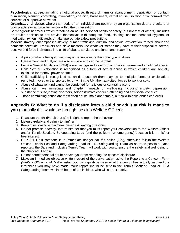**Psychological abuse:** including emotional abuse, threats of harm or abandonment, deprivation of contact, humiliation, blaming, controlling, intimidation, coercion, harassment, verbal abuse, isolation or withdrawal from services or supportive networks.

**Organisational abuse**: where the needs of an individual are not met by an organisation due to a culture of poor practice or abusive behaviour within the organisation.

**Self-neglect:** behaviour which threatens an adult's personal health or safety (but not that of others). Includes an adult's decision to not provide themselves with adequate food, clothing, shelter, personal hygiene, or medication (when indicated), or take appropriate safety precautions

**Modern slavery**: encompasses slavery, human trafficking, criminal and sexual exploitation, forced labour and domestic servitude. Traffickers and slave masters use whatever means they have at their disposal to coerce, deceive and force individuals into a life of abuse, servitude and inhumane treatment.

- A person who is being abused may experience more than one type of abuse
- Harassment, and bullying are also abusive and can be harmful
- Female Genital Mutilation (FGM) is now recognised as a form of physical, sexual and emotional abuse
- Child Sexual Exploitation is recognised as a form of sexual abuse in which children are sexually exploited for money, power or status
- Child trafficking is recognised as child abuse; children may be to multiple forms of exploitation, recruited, moved or transported to, or within the UK, then exploited, forced to work or sold.
- Abuse of whatever kind cannot be condoned for religious or cultural reasons
- Abuse can have immediate and long-term impacts on well-being, including anxiety, depression, substance misuse, eating disorders, self-destructive conduct, offending and anti-social conduct
- Those committing abuse are most often adults, male and female, but child-to-child abuse can occur.

# **Appendix B: What to do if a disclosure from a child or adult at risk is made to you** (normally this would be through the club Welfare Officer):

- 1. Reassure the child/adult that s/he is right to report the behaviour
- 2. Listen carefully and calmly to him/her
- 3. Keep questions to a minimum; never ask leading questions
- 4. Do not promise secrecy. Inform him/her that you must report your conversation to the Welfare Officer and/or Tennis Scotland Safeguarding Lead (and the police in an emergency) because it is in his/her best interest
- 5. REPORT IT! If someone is in immediate danger call the police (999), otherwise talk to the Welfare Officer, Tennis Scotland Safeguarding Lead or LTA Safeguarding Team as soon as possible. Once reported, the Safe and Inclusive Tennis Team will work with you to ensure the safety and well-being of the child/ adult at risk
- 6. Do not permit personal doubt prevent you from reporting the concern/disclosure
- 7. Make an immediate objective written record of the conversation using the Reporting a Concern Form *(Welfare Officer only)*. Make certain you distinguish between what the person has actually said and the inferences you may have made. Your report should be sent to the Tennis Scotland Lead or LTA Safeguarding Team within 48 hours of the incident, who will store it safely.